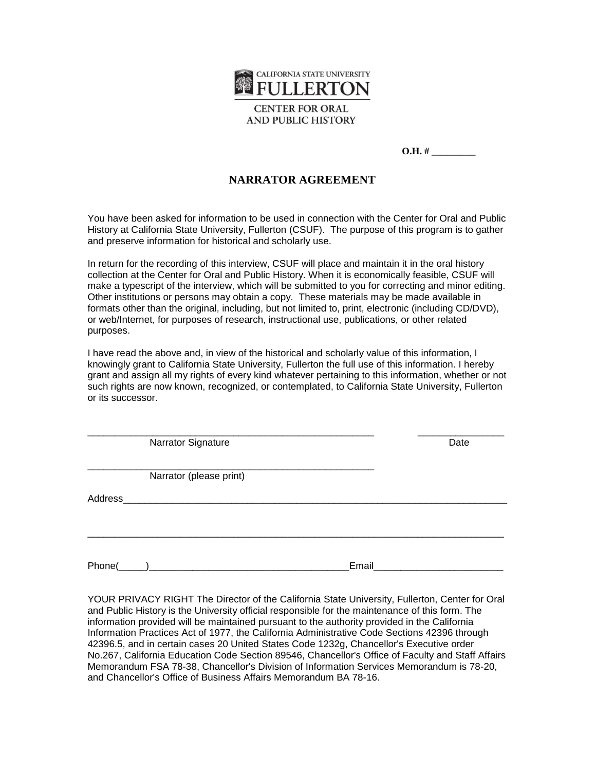

**CENTER FOR ORAL AND PUBLIC HISTORY** 

## **NARRATOR AGREEMENT**

You have been asked for information to be used in connection with the Center for Oral and Public History at California State University, Fullerton (CSUF). The purpose of this program is to gather and preserve information for historical and scholarly use.

In return for the recording of this interview, CSUF will place and maintain it in the oral history collection at the Center for Oral and Public History. When it is economically feasible, CSUF will make a typescript of the interview, which will be submitted to you for correcting and minor editing. Other institutions or persons may obtain a copy. These materials may be made available in formats other than the original, including, but not limited to, print, electronic (including CD/DVD), or web/Internet, for purposes of research, instructional use, publications, or other related purposes.

I have read the above and, in view of the historical and scholarly value of this information, I knowingly grant to California State University, Fullerton the full use of this information. I hereby grant and assign all my rights of every kind whatever pertaining to this information, whether or not such rights are now known, recognized, or contemplated, to California State University, Fullerton or its successor.

\_\_\_\_\_\_\_\_\_\_\_\_\_\_\_\_\_\_\_\_\_\_\_\_\_\_\_\_\_\_\_\_\_\_\_\_\_\_\_\_\_\_\_\_\_\_\_\_\_\_\_\_\_ \_\_\_\_\_\_\_\_\_\_\_\_\_\_\_\_

Narrator Signature Date Date

\_\_\_\_\_\_\_\_\_\_\_\_\_\_\_\_\_\_\_\_\_\_\_\_\_\_\_\_\_\_\_\_\_\_\_\_\_\_\_\_\_\_\_\_\_\_\_\_\_\_\_\_\_ Narrator (please print)

Address\_\_\_\_\_\_\_\_\_\_\_\_\_\_\_\_\_\_\_\_\_\_\_\_\_\_\_\_\_\_\_\_\_\_\_\_\_\_\_\_\_\_\_\_\_\_\_\_\_\_\_\_\_\_\_\_\_\_\_\_\_\_\_\_\_\_\_\_\_\_\_

Phone(\_\_\_\_\_)\_\_\_\_\_\_\_\_\_\_\_\_\_\_\_\_\_\_\_\_\_\_\_\_\_\_\_\_\_\_\_\_\_\_\_\_\_Email\_\_\_\_\_\_\_\_\_\_\_\_\_\_\_\_\_\_\_\_\_\_\_\_

\_\_\_\_\_\_\_\_\_\_\_\_\_\_\_\_\_\_\_\_\_\_\_\_\_\_\_\_\_\_\_\_\_\_\_\_\_\_\_\_\_\_\_\_\_\_\_\_\_\_\_\_\_\_\_\_\_\_\_\_\_\_\_\_\_\_\_\_\_\_\_\_\_\_\_\_\_

YOUR PRIVACY RIGHT The Director of the California State University, Fullerton, Center for Oral and Public History is the University official responsible for the maintenance of this form. The information provided will be maintained pursuant to the authority provided in the California Information Practices Act of 1977, the California Administrative Code Sections 42396 through 42396.5, and in certain cases 20 United States Code 1232g, Chancellor's Executive order No.267, California Education Code Section 89546, Chancellor's Office of Faculty and Staff Affairs Memorandum FSA 78-38, Chancellor's Division of Information Services Memorandum is 78-20, and Chancellor's Office of Business Affairs Memorandum BA 78-16.